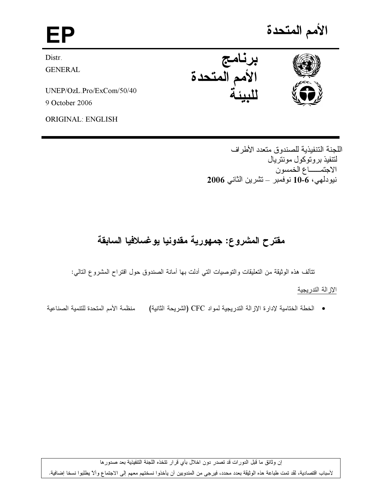

اللجنة التنفيذية للصندوق متعدد الأطراف لتتفيذ بروتوكول مونتريال الاجتمـــاع الخمسون نيودلهي، 10-6 نوفمبر – تشرين الثاني 2006

# مقترح المشروع: جمهورية مقدونيا يوغسلافيا السابقة

نتألف هذه الوثيقة من التعليقات والتوصيات التي أدلت بها أمانة الصندوق حول اقتراح المشروع التالي:

# الإزالة التدريجية

منظمة الأمم المتحدة للتنمية الصناعية • الخطة الختامية لإدار ة الإز الة التدريجية لمواد CFC (الشريحة الثانية)

إن وثائق ما قبل الدورات قد تصدر دون اخلال بأي قرار تتخذه اللجنة التنفيذية بعد صدورها

لأسباب اقتصادية، لقد تمت طباعة هذه الوثيقة بعدد محدد، فيرجى من المندوبين أن يأخذوا نسختهم معهم إلى الاجتماع وألآ يطلبوا نسخا إضافية.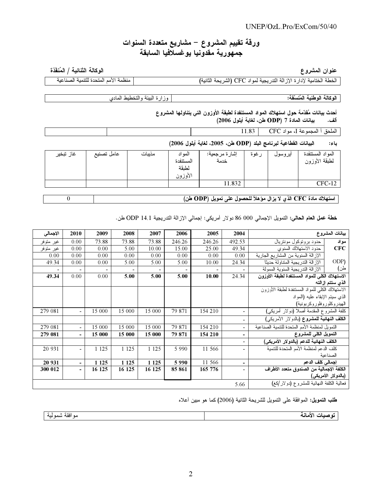### $UNEP/OzL.Pro/ExCom/50/40$

# ورقة تقييم المشروع – مشاريع متعددة السنوات جمهورية مقدونيا يوغسلافيا السابقة

#### عنوان المشروع

الوكالة الثنائية / المُنفّذة منظمة الأمم المتحدة للتنمية الصناعية

الخطة الختامية لإدارة الإزالة التدريجية لمواد CFC (الشريحة الثانية)

الوكالة الوطنية المُنسَّقة:

وزارة البيئة والتخطيط المادى

# أحدث بيانات مُقدَّمة حول استهلاك المواد المستنفدة لطبقة الأوزون التي يتناولها المشروع

بيانات المادة 7 (ODP طن، لغاية أيلول 2006) ألف.

الملحق أ المجموعة J، مواد CFC | 11.83

#### البيانات الفطاعية لبرنامج البلد (ODP طن، 2005، لغاية أيلول 2006) باء:

| غاز تبخير | عامل تصنيع | مذيبات | المو اد<br>المستنفدة<br>لطنقة<br>الأوزون | إشارة مرجعية:<br>خدمة | رغوة | ايروسول | المو اد المستنفدة<br>لطبقة الأوزون |
|-----------|------------|--------|------------------------------------------|-----------------------|------|---------|------------------------------------|
|           |            |        |                                          | 11.832                |      |         | $CFC-12$                           |

استهلاك مادة CFC الذي لا يزال مؤهلاً للحصول على تمويل (ODP طن)

 $\boldsymbol{0}$ 

خطة عمل العام الحالي: التمويل الإجمالي 000 86 دولار أمريكي: إجمالي الإزالة التدريجية ODP 14.1 طن.

| الإجمالي  | 2010                     | 2009    | 2008    | 2007    | 2006    | 2005    | 2004                         | بيانات المشروع                                 |                     |  |
|-----------|--------------------------|---------|---------|---------|---------|---------|------------------------------|------------------------------------------------|---------------------|--|
| غير متوفر | 0.00                     | 73.88   | 73.88   | 73.88   | 246.26  | 246.26  | 492.53                       | حدود برونوكول مونتريال                         | مواد                |  |
| غير متوفر | 0.00                     | 0.00    | 5.00    | 10.00   | 15.00   | 25.00   | 49.34                        | حدود الاستهلاك السنوي                          | <b>CFC</b>          |  |
| 0.00      | 0.00                     | 0.00    | 0.00    | 0.00    | 0.00    | 0.00    | 0.00                         | الإزالة السنوية من المشاريع الجارية            |                     |  |
| 49.34     | 0.00                     | 0.00    | 5.00    | 5.00    | 5.00    | 10.00   | 24.34                        | الإزالة الندريجية المنتاولة حديثا              | ODP)                |  |
| -         | $\overline{\phantom{a}}$ |         |         | -       | -       |         | $\overline{\phantom{0}}$     | الإزالة الندريجية السنوية الممولة              | طن)                 |  |
| 49.34     | 0.00                     | 0.00    | 5.00    | 5.00    | 5.00    | 10.00   | 24.34                        | الاستهلاك الكلى للمواد المستنفدة لطبقة الأوزون |                     |  |
|           |                          |         |         |         |         |         |                              | الذى ستتم إزالته                               |                     |  |
|           |                          |         |         |         |         |         |                              | الاستهلاك الكلى للمواد المستنفدة لطبقة الأوزون |                     |  |
|           |                          |         |         |         |         |         |                              | الذي سيتم الإبقاء عليه (المواد                 |                     |  |
|           |                          |         |         |         |         |         |                              | الهيدروكلوروفلوروكربونية)                      |                     |  |
| 279 081   | $\overline{\phantom{a}}$ | 15 000  | 15 000  | 15 000  | 79 871  | 154 210 |                              | كلفة المشروع المقدمة أصلاً (دولار أمريكي)      |                     |  |
|           |                          |         |         |         |         |         | $\overline{\phantom{0}}$     | الكلف النهائية للمشروع (بالدولار الأمريكي)     |                     |  |
| 279 081   | $\overline{\phantom{a}}$ | 15 000  | 15 000  | 15 000  | 79 871  | 154 210 | $\overline{\phantom{0}}$     | التمويل لمنظمة الأمم المتحدة للتنمية الصناعية  |                     |  |
| 279 081   | $\blacksquare$           | 15 000  | 15 000  | 15 000  | 79 871  | 154 210 | $\qquad \qquad \blacksquare$ | التمويل الكلى للمشروع                          |                     |  |
|           |                          |         |         |         |         |         | $\overline{\phantom{0}}$     | الكلف النهائية للدعم (بالدولار الأمريكي)       |                     |  |
| 20 931    | $\overline{\phantom{a}}$ | 1 1 2 5 | 1 1 2 5 | 1 1 2 5 | 5 9 9 0 | 11 566  | $\overline{a}$               | كلف الدعم لمنظمة الأمم المتحدة للنتمية         |                     |  |
|           |                          |         |         |         |         |         |                              |                                                | الصناعبة            |  |
| 20 931    | $\blacksquare$           | 1 1 2 5 | 1 1 2 5 | 1 1 2 5 | 5990    | 11 566  | $\blacksquare$               | إجمالي كلف الدعم                               |                     |  |
| 300 012   | ÷,                       | 16 125  | 16 125  | 16 125  | 85 861  | 165 776 |                              | الكلفة الإجمالية من الصندوق متعدد الأطراف      |                     |  |
|           |                          |         |         |         |         |         |                              |                                                | (بالدولار الأمريكي) |  |
| 5.66      |                          |         |         |         |         |         |                              | فعالية الكلفة النهائية للمشروع (دولار/كغ)      |                     |  |

طلب النمويل: الموافقة على التمويل للشريحة الثانية (2006) كما هو مبين أعلاه

توصبات الأمانة

مو افقة شمو لبة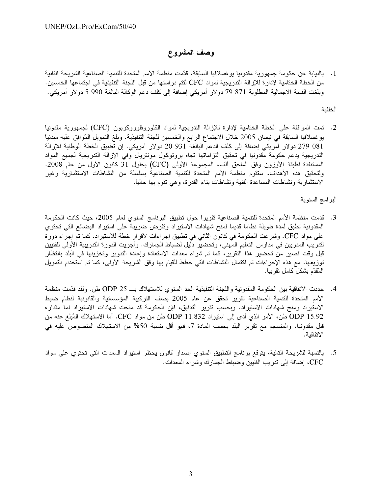# وصف المشروع

1. بالنيابة عن حكومة جمهورية مقدونيا يوغسلافيا السابقة، قدّمت منظمة الأمم المتحدة للتنمية الصناعية الشريحة الثانية من الخطة الختامية لإدارة للإزالة التدريجية لمواد CFC لتتم دراستها من قبل اللجنة التتفيذية في اجتماعها الخمسين. وبلغت القيمة الإجمالية المطلوبة 71 79 دولار أمريكي إضافة إلى كلف دعم الوكالة البالغة 990 5 دولار أمريكي.

#### الخلفية

2. تمت الموافقة على الخطة الختامية لإدارة للإزالة التدريجية لمواد الكلوروفلوروكربون (CFC) لجمهورية مقدونيا يوغسلافيا السابقة في نيسان 2005 خلال الاجتماع الرابع والخمسين للجنة التنفيذية. وبلغ التمويل المُوافق عليه مبدئياً 081 279 دولار أمريكي إضافة إلى كلف الدعم البالغة 931 20 دولار أمريكي. إن تطبيق الخطة الوطنية للإزالة التدريجية يدعم حكومة مقدونيا في تحقيق التزاماتها تجاه بروتوكول مونتريال وفي الإزالة التدريجية لجميع المواد المستنفدة لطبقة الأوزون وفق الملحق ألف، المجموعة الأولى (CFC) بحلول 31 كانون الأول من عام 2008. ولتحقيق هذه الأهداف، ستقوم منظمة الأمم المتحدة للتتمية الصناعية بسلسلة من النشاطات الاستثمارية وغير الاستثمارية ونشاطات المساعدة الفنية ونشاطات بناء القدرة، وهي تقوم بها حالياً.

# البرامج السنوية

- 3. قدمت منظمة الأمم المتحدة للتنمية الصناعية تقريراً حول تطبيق البرنامج السنوى لعام 2005، حيث كانت الحكومة المقدونية تطبق لمدة طويلة نظاماً قديماً لمنح شهادات الاستيراد وتفرض ضريبة على استيراد البضائع التي تحتوي على مواد CFC. وشرعت الحكومة في كانون الثاني في تطبيق إجراءات لإقرار خطة للاستيراد، كما تم إجراء دورة لتدريب المدربين في مدارس التعليم المهني، وتحضير دليل لضباط الجمارك. وأجريت الدورة التدريبية الأولى للفنيين قبل وقت قصير من تحضير هذا التقرير، كما تم شراء معدات الاستعادة وإعادة التدوير وتخزينها في البلد بانتظار توزيعها. مع هذه الإجراءات تم اكتمال النشاطات التي خطط للقيام بها وفق الشريحة الأولى، كما تم استخدام التمويل الْمُقدَّم بشكل كامل تقريباً.
- 4. حددت الاتفاقية بين الحكومة المقدونية واللجنة التنفيذية الحد السنوى للاستهلاك بــــ 25 ODP طن. ولقد قدّمت منظمة الأمم المتحدة للتتمية الصناعية تقرير تحقق عن عام 2005 يصف التركيبة المؤسساتية والقانونية لنظام ضبط الاستيراد ومنح شهادات الاستيراد. وبحسب تقرير التدقيق، فإن الحكومة قد منحت شهادات الاستيراد لما مقداره ODP 15.92 طن، الأمر الذي أدى إلى استيراد 11.832 ODP طن من مواد CFC. أما الاستهلاك المُبلغ عنه من قبل مقدونيا، والمنسجم مع تقرير البلد بحسب المادة 7، فهو أقل بنسبة 50% من الاستهلاك المنصوص عليه في الاتفاقية.
- 5. بالنسبة للشريحة التالية، يتوقع برنامج التطبيق السنوي إصدار قانون يحظر استيراد المعدات التي تحتوي على مواد CFC، إضافة إلى تدريب الفنيين وضباط الجمارك وشراء المعدات.